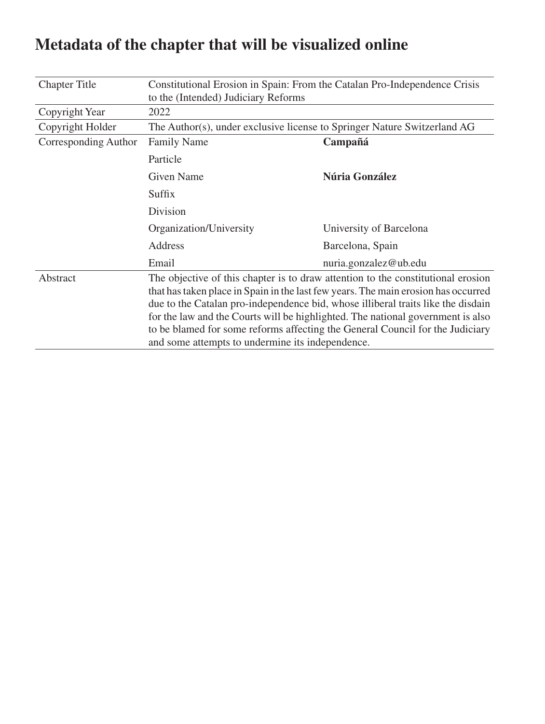| <b>Chapter Title</b> | Constitutional Erosion in Spain: From the Catalan Pro-Independence Crisis<br>to the (Intended) Judiciary Reforms                                                                                                                                                                                                                                                                                                                                                                   |                         |  |
|----------------------|------------------------------------------------------------------------------------------------------------------------------------------------------------------------------------------------------------------------------------------------------------------------------------------------------------------------------------------------------------------------------------------------------------------------------------------------------------------------------------|-------------------------|--|
| Copyright Year       | 2022                                                                                                                                                                                                                                                                                                                                                                                                                                                                               |                         |  |
| Copyright Holder     | The Author(s), under exclusive license to Springer Nature Switzerland AG                                                                                                                                                                                                                                                                                                                                                                                                           |                         |  |
| Corresponding Author | <b>Family Name</b>                                                                                                                                                                                                                                                                                                                                                                                                                                                                 | Campañá                 |  |
|                      | Particle                                                                                                                                                                                                                                                                                                                                                                                                                                                                           |                         |  |
|                      | <b>Given Name</b>                                                                                                                                                                                                                                                                                                                                                                                                                                                                  | Núria González          |  |
|                      | Suffix                                                                                                                                                                                                                                                                                                                                                                                                                                                                             |                         |  |
|                      | Division                                                                                                                                                                                                                                                                                                                                                                                                                                                                           |                         |  |
|                      | Organization/University                                                                                                                                                                                                                                                                                                                                                                                                                                                            | University of Barcelona |  |
|                      | Address                                                                                                                                                                                                                                                                                                                                                                                                                                                                            | Barcelona, Spain        |  |
|                      | Email                                                                                                                                                                                                                                                                                                                                                                                                                                                                              | nuria.gonzalez@ub.edu   |  |
| Abstract             | The objective of this chapter is to draw attention to the constitutional erosion<br>that has taken place in Spain in the last few years. The main erosion has occurred<br>due to the Catalan pro-independence bid, whose illiberal traits like the disdain<br>for the law and the Courts will be highlighted. The national government is also<br>to be blamed for some reforms affecting the General Council for the Judiciary<br>and some attempts to undermine its independence. |                         |  |

## **Metadata of the chapter that will be visualized online**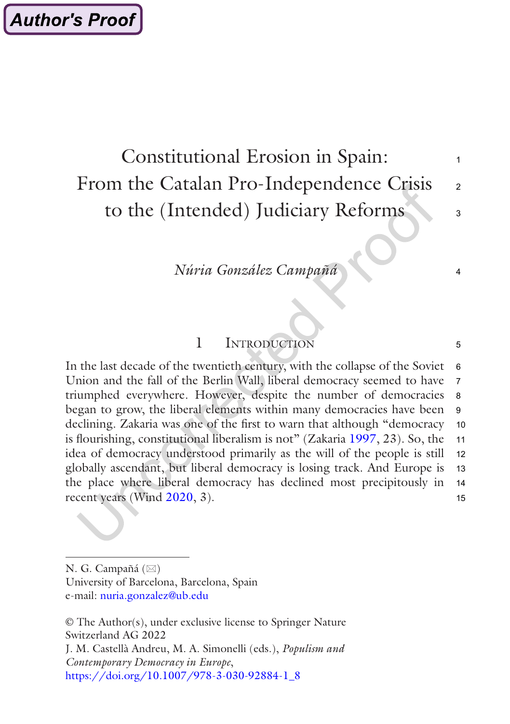## Constitutional Erosion in Spain: From the Catalan Pro-Independence Crisis to the (Intended) Judiciary Reforms

1

 $\mathfrak{p}$ 

 $\mathbf{a}$ 

4

5

# *Núria González Campañá*

## 1 Introduction

In the last decade of the twentieth century, with the collapse of the Soviet Union and the fall of the Berlin Wall, liberal democracy seemed to have triumphed everywhere. However, despite the number of democracies began to grow, the liberal elements within many democracies have been declining. Zakaria was one of the first to warn that although "democracy is flourishing, constitutional liberalism is not" (Zakaria [1997,](#page-22-0) 23). So, the idea of democracy understood primarily as the will of the people is still globally ascendant, but liberal democracy is losing track. And Europe is the place where liberal democracy has declined most precipitously in recent years (Wind [2020,](#page-22-0) 3). 6 7 8 9 10 11 12 13 14 15

© The Author(s), under exclusive license to Springer Nature Switzerland AG 2022 J. M. Castellà Andreu, M. A. Simonelli (eds.), *Populism and Contemporary Democracy in Europe*, [https://doi.org/10.1007/978-3-030-92884-1\\_8](https://doi.org/10.1007/978-3-030-92884-1_8#DOI)

N. G. Campañá  $(\boxtimes)$ University of Barcelona, Barcelona, Spain

e-mail: [nuria.gonzalez@ub.edu](mailto:nuria.gonzalez@ub.edu)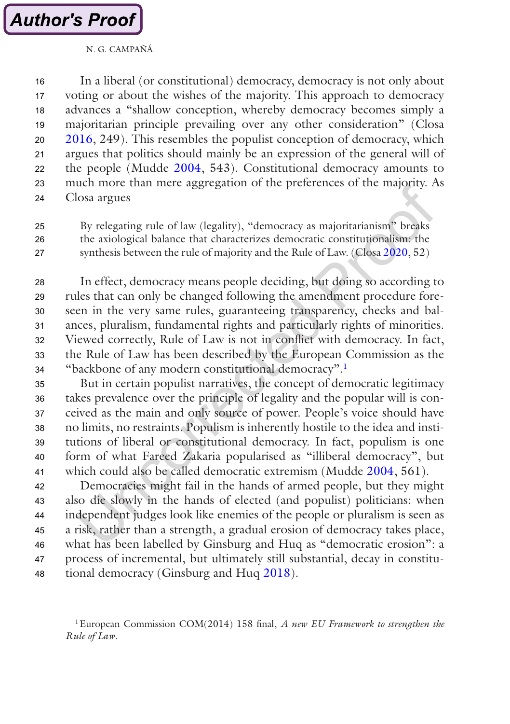

In a liberal (or constitutional) democracy, democracy is not only about voting or about the wishes of the majority. This approach to democracy advances a "shallow conception, whereby democracy becomes simply a majoritarian principle prevailing over any other consideration" (Closa [2016](#page-20-0), 249). This resembles the populist conception of democracy, which argues that politics should mainly be an expression of the general will of the people (Mudde [2004,](#page-21-0) 543). Constitutional democracy amounts to much more than mere aggregation of the preferences of the majority. As Closa argues 16 17 18 19 20 21 22 23  $24$ 

By relegating rule of law (legality), "democracy as majoritarianism" breaks the axiological balance that characterizes democratic constitutionalism: the synthesis between the rule of majority and the Rule of Law. (Closa [2020,](#page-20-0) 52) 25 26 27

In effect, democracy means people deciding, but doing so according to rules that can only be changed following the amendment procedure foreseen in the very same rules, guaranteeing transparency, checks and balances, pluralism, fundamental rights and particularly rights of minorities. Viewed correctly, Rule of Law is not in conflict with democracy. In fact, the Rule of Law has been described by the European Commission as the "backbone of any modern constitutional democracy".1 28 29 30 31 32 33 34

But in certain populist narratives, the concept of democratic legitimacy takes prevalence over the principle of legality and the popular will is conceived as the main and only source of power. People's voice should have no limits, no restraints. Populism is inherently hostile to the idea and institutions of liberal or constitutional democracy. In fact, populism is one form of what Fareed Zakaria popularised as "illiberal democracy", but which could also be called democratic extremism (Mudde [2004](#page-21-0), 561). 35 36 37 38 39 40 41

Democracies might fail in the hands of armed people, but they might also die slowly in the hands of elected (and populist) politicians: when independent judges look like enemies of the people or pluralism is seen as a risk, rather than a strength, a gradual erosion of democracy takes place, what has been labelled by Ginsburg and Huq as "democratic erosion": a process of incremental, but ultimately still substantial, decay in constitutional democracy (Ginsburg and Huq [2018](#page-20-0)). 42 43 44 45 46 47 48

<sup>1</sup>European Commission COM(2014) 158 final, *A new EU Framework to strengthen the Rule of Law*.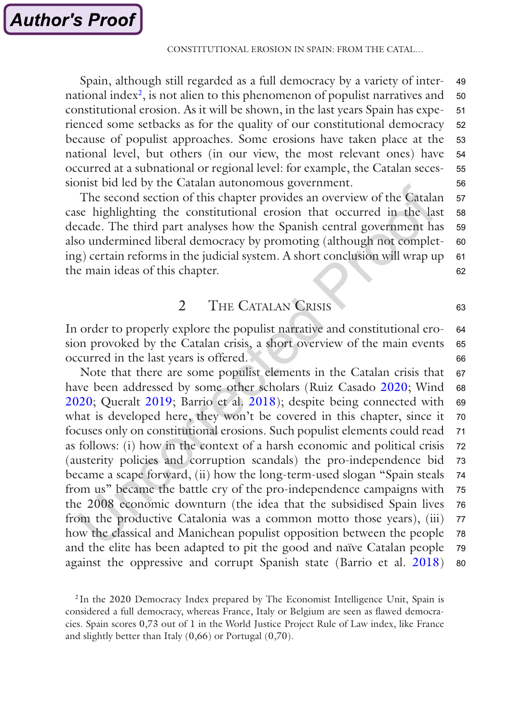Spain, although still regarded as a full democracy by a variety of international index<sup>2</sup>, is not alien to this phenomenon of populist narratives and constitutional erosion. As it will be shown, in the last years Spain has experienced some setbacks as for the quality of our constitutional democracy because of populist approaches. Some erosions have taken place at the national level, but others (in our view, the most relevant ones) have occurred at a subnational or regional level: for example, the Catalan secessionist bid led by the Catalan autonomous government. 49 50 51 52 53 54 55 56

The second section of this chapter provides an overview of the Catalan case highlighting the constitutional erosion that occurred in the last decade. The third part analyses how the Spanish central government has also undermined liberal democracy by promoting (although not completing) certain reforms in the judicial system. A short conclusion will wrap up the main ideas of this chapter. 57 58 59 60 61 62

## 2 THE CATALAN CRISIS

63

In order to properly explore the populist narrative and constitutional erosion provoked by the Catalan crisis, a short overview of the main events occurred in the last years is offered. 64 65 66

Note that there are some populist elements in the Catalan crisis that have been addressed by some other scholars (Ruiz Casado [2020;](#page-21-0) Wind [2020](#page-22-0); Queralt [2019;](#page-21-0) Barrio et al. [2018](#page-20-0)); despite being connected with what is developed here, they won't be covered in this chapter, since it focuses only on constitutional erosions. Such populist elements could read as follows: (i) how in the context of a harsh economic and political crisis (austerity policies and corruption scandals) the pro-independence bid became a scape forward, (ii) how the long-term-used slogan "Spain steals from us" became the battle cry of the pro-independence campaigns with the 2008 economic downturn (the idea that the subsidised Spain lives from the productive Catalonia was a common motto those years), (iii) how the classical and Manichean populist opposition between the people and the elite has been adapted to pit the good and naïve Catalan people against the oppressive and corrupt Spanish state (Barrio et al. [2018\)](#page-20-0) 67 68 69 70 71 72 73 74 75 76 77 78 79 80

<sup>2</sup> In the 2020 Democracy Index prepared by The Economist Intelligence Unit, Spain is considered a full democracy, whereas France, Italy or Belgium are seen as flawed democracies. Spain scores 0,73 out of 1 in the World Justice Project Rule of Law index, like France and slightly better than Italy (0,66) or Portugal (0,70).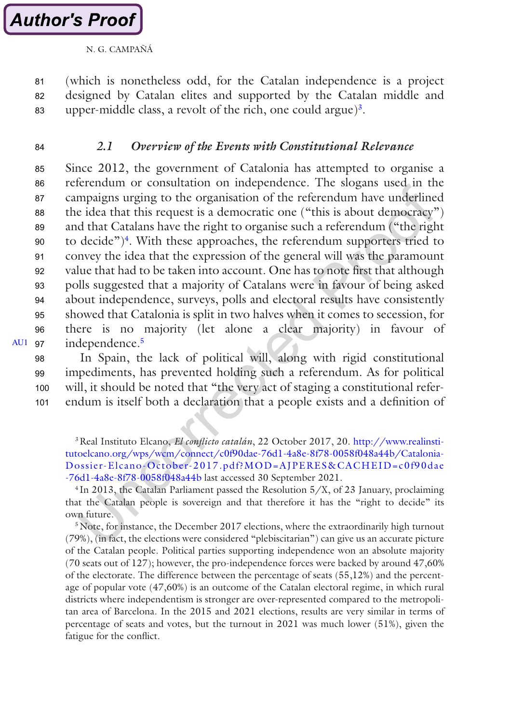<span id="page-4-0"></span>(which is nonetheless odd, for the Catalan independence is a project designed by Catalan elites and supported by the Catalan middle and upper-middle class, a revolt of the rich, one could argue)<sup>3</sup>. 81 82 83

84

## *2.1 Overview of the Events with Constitutional Relevance*

Since 2012, the government of Catalonia has attempted to organise a referendum or consultation on independence. The slogans used in the campaigns urging to the organisation of the referendum have underlined the idea that this request is a democratic one ("this is about democracy") and that Catalans have the right to organise such a referendum ("the right to decide") $\frac{4}{3}$ . With these approaches, the referendum supporters tried to convey the idea that the expression of the general will was the paramount value that had to be taken into account. One has to note first that although polls suggested that a majority of Catalans were in favour of being asked about independence, surveys, polls and electoral results have consistently showed that Catalonia is split in two halves when it comes to secession, for there is no majority (let alone a clear majority) in favour of independence.<sup>5</sup> 85 86 87 88 89 90 91 92 93 94 95 96

[AU1](#page-23-0) 97

In Spain, the lack of political will, along with rigid constitutional impediments, has prevented holding such a referendum. As for political will, it should be noted that "the very act of staging a constitutional referendum is itself both a declaration that a people exists and a definition of 98 99 100 101

3Real Instituto Elcano, *El conflicto catalán*, 22 October 2017, 20. [http://www.realinsti](http://www.realinstitutoelcano.org/wps/wcm/connect/c0f90dae-76d1-4a8e-8f78-0058f048a44b/Catalonia-Dossier-Elcano-October-2017.pdf?MOD=AJPERES&CACHEID=c0f90dae-76d1-4a8e-8f78-0058f048a44b)[tutoelcano.org/wps/wcm/connect/c0f90dae-76d1-4a8e-8f78-0058f048a44b/Catalonia-](http://www.realinstitutoelcano.org/wps/wcm/connect/c0f90dae-76d1-4a8e-8f78-0058f048a44b/Catalonia-Dossier-Elcano-October-2017.pdf?MOD=AJPERES&CACHEID=c0f90dae-76d1-4a8e-8f78-0058f048a44b)[Dossier-Elcano-October-2017.pdf?MOD=AJPERES&CACHEID=c0f90dae](http://www.realinstitutoelcano.org/wps/wcm/connect/c0f90dae-76d1-4a8e-8f78-0058f048a44b/Catalonia-Dossier-Elcano-October-2017.pdf?MOD=AJPERES&CACHEID=c0f90dae-76d1-4a8e-8f78-0058f048a44b) [-76d1-4a8e-8f78-0058f048a44b](http://www.realinstitutoelcano.org/wps/wcm/connect/c0f90dae-76d1-4a8e-8f78-0058f048a44b/Catalonia-Dossier-Elcano-October-2017.pdf?MOD=AJPERES&CACHEID=c0f90dae-76d1-4a8e-8f78-0058f048a44b) last accessed 30 September 2021.

 $4$ In 2013, the Catalan Parliament passed the Resolution  $5/X$ , of 23 January, proclaiming that the Catalan people is sovereign and that therefore it has the "right to decide" its own future.

<sup>5</sup> Note, for instance, the December 2017 elections, where the extraordinarily high turnout (79%), (in fact, the elections were considered "plebiscitarian") can give us an accurate picture of the Catalan people. Political parties supporting independence won an absolute majority (70 seats out of 127); however, the pro-independence forces were backed by around 47,60% of the electorate. The difference between the percentage of seats (55,12%) and the percentage of popular vote (47,60%) is an outcome of the Catalan electoral regime, in which rural districts where independentism is stronger are over-represented compared to the metropolitan area of Barcelona. In the 2015 and 2021 elections, results are very similar in terms of percentage of seats and votes, but the turnout in 2021 was much lower (51%), given the fatigue for the conflict.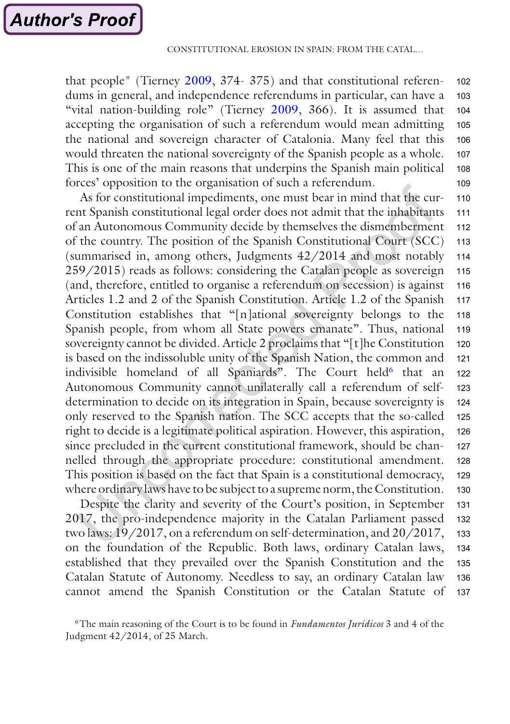that people" (Tierney [2009](#page-21-0), 374- 375) and that constitutional referendums in general, and independence referendums in particular, can have a "vital nation-building role" (Tierney [2009,](#page-21-0) 366). It is assumed that accepting the organisation of such a referendum would mean admitting the national and sovereign character of Catalonia. Many feel that this would threaten the national sovereignty of the Spanish people as a whole. This is one of the main reasons that underpins the Spanish main political forces' opposition to the organisation of such a referendum. 102 103 104 105 106 107 108 109

As for constitutional impediments, one must bear in mind that the current Spanish constitutional legal order does not admit that the inhabitants of an Autonomous Community decide by themselves the dismemberment of the country. The position of the Spanish Constitutional Court (SCC) (summarised in, among others, Judgments 42/2014 and most notably 259/2015) reads as follows: considering the Catalan people as sovereign (and, therefore, entitled to organise a referendum on secession) is against Articles 1.2 and 2 of the Spanish Constitution. Article 1.2 of the Spanish Constitution establishes that "[n]ational sovereignty belongs to the Spanish people, from whom all State powers emanate". Thus, national sovereignty cannot be divided. Article 2 proclaims that "[t]he Constitution is based on the indissoluble unity of the Spanish Nation, the common and indivisible homeland of all Spaniards". The Court held<sup>6</sup> that an Autonomous Community cannot unilaterally call a referendum of selfdetermination to decide on its integration in Spain, because sovereignty is only reserved to the Spanish nation. The SCC accepts that the so-called right to decide is a legitimate political aspiration. However, this aspiration, since precluded in the current constitutional framework, should be channelled through the appropriate procedure: constitutional amendment. This position is based on the fact that Spain is a constitutional democracy, where ordinary laws have to be subject to a supreme norm, the Constitution. 110 111 112 113 114 115 116 117 118 119 120 121 122 123 124 125 126 127 128 129 130

Despite the clarity and severity of the Court's position, in September 2017, the pro-independence majority in the Catalan Parliament passed two laws: 19/2017, on a referendum on self-determination, and 20/2017, on the foundation of the Republic. Both laws, ordinary Catalan laws, established that they prevailed over the Spanish Constitution and the Catalan Statute of Autonomy. Needless to say, an ordinary Catalan law cannot amend the Spanish Constitution or the Catalan Statute of 131 132 133 134 135 136 137

<sup>6</sup>The main reasoning of the Court is to be found in *Fundamentos Jurídicos* 3 and 4 of the Judgment 42/2014, of 25 March.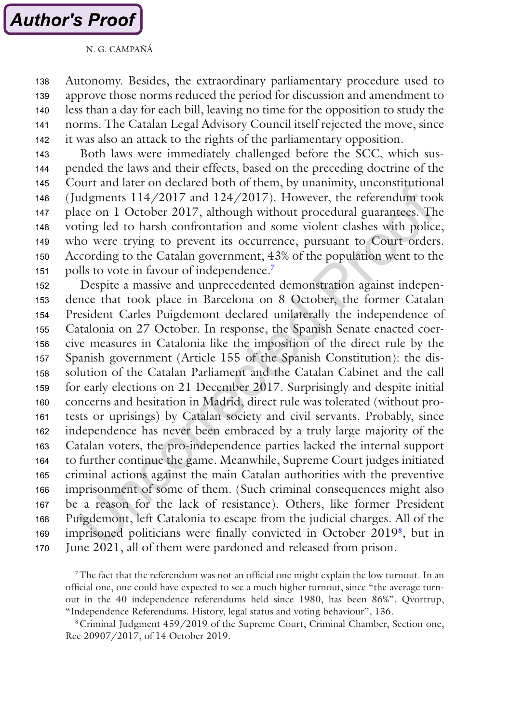Autonomy. Besides, the extraordinary parliamentary procedure used to approve those norms reduced the period for discussion and amendment to less than a day for each bill, leaving no time for the opposition to study the norms. The Catalan Legal Advisory Council itself rejected the move, since it was also an attack to the rights of the parliamentary opposition. 138 139 140 141 142

Both laws were immediately challenged before the SCC, which suspended the laws and their effects, based on the preceding doctrine of the Court and later on declared both of them, by unanimity, unconstitutional (Judgments 114/2017 and 124/2017). However, the referendum took place on 1 October 2017, although without procedural guarantees. The voting led to harsh confrontation and some violent clashes with police, who were trying to prevent its occurrence, pursuant to Court orders. According to the Catalan government, 43% of the population went to the polls to vote in favour of independence.7 143 144 145 146 147 148 149 150 151

Despite a massive and unprecedented demonstration against independence that took place in Barcelona on 8 October, the former Catalan President Carles Puigdemont declared unilaterally the independence of Catalonia on 27 October. In response, the Spanish Senate enacted coercive measures in Catalonia like the imposition of the direct rule by the Spanish government (Article 155 of the Spanish Constitution): the dissolution of the Catalan Parliament and the Catalan Cabinet and the call for early elections on 21 December 2017. Surprisingly and despite initial concerns and hesitation in Madrid, direct rule was tolerated (without protests or uprisings) by Catalan society and civil servants. Probably, since independence has never been embraced by a truly large majority of the Catalan voters, the pro-independence parties lacked the internal support to further continue the game. Meanwhile, Supreme Court judges initiated criminal actions against the main Catalan authorities with the preventive imprisonment of some of them. (Such criminal consequences might also be a reason for the lack of resistance). Others, like former President Puigdemont, left Catalonia to escape from the judicial charges. All of the imprisoned politicians were finally convicted in October 20198, but in June 2021, all of them were pardoned and released from prison. 152 153 154 155 156 157 158 159 160 161 162 163 164 165 166 167 168 169 170

7The fact that the referendum was not an official one might explain the low turnout. In an official one, one could have expected to see a much higher turnout, since "the average turnout in the 40 independence referendums held since 1980, has been 86%". Qvortrup, "Independence Referendums. History, legal status and voting behaviour", 136.

8Criminal Judgment 459/2019 of the Supreme Court, Criminal Chamber, Section one, Rec 20907/2017, of 14 October 2019.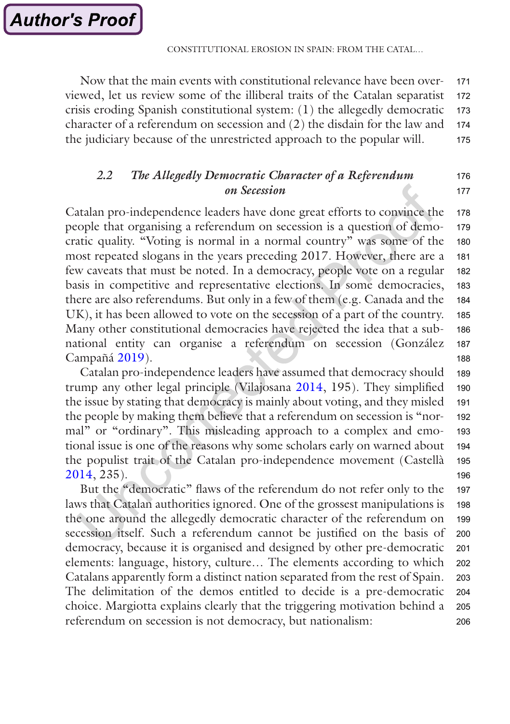176 177

Now that the main events with constitutional relevance have been overviewed, let us review some of the illiberal traits of the Catalan separatist crisis eroding Spanish constitutional system: (1) the allegedly democratic character of a referendum on secession and (2) the disdain for the law and the judiciary because of the unrestricted approach to the popular will. 171 172 173 174 175

## *2.2 The Allegedly Democratic Character of a Referendum on Secession*

Catalan pro-independence leaders have done great efforts to convince the people that organising a referendum on secession is a question of democratic quality. "Voting is normal in a normal country" was some of the most repeated slogans in the years preceding 2017. However, there are a few caveats that must be noted. In a democracy, people vote on a regular basis in competitive and representative elections. In some democracies, there are also referendums. But only in a few of them (e.g. Canada and the UK), it has been allowed to vote on the secession of a part of the country. Many other constitutional democracies have rejected the idea that a subnational entity can organise a referendum on secession (González Campañá [2019](#page-20-0)). 178 179 180 181 182 183 184 185 186 187 188

Catalan pro-independence leaders have assumed that democracy should trump any other legal principle (Vilajosana [2014,](#page-22-0) 195). They simplified the issue by stating that democracy is mainly about voting, and they misled the people by making them believe that a referendum on secession is "normal" or "ordinary". This misleading approach to a complex and emotional issue is one of the reasons why some scholars early on warned about the populist trait of the Catalan pro-independence movement (Castellà [2014](#page-20-0), 235). 189 190 191 192 193 194 195 196

But the "democratic" flaws of the referendum do not refer only to the laws that Catalan authorities ignored. One of the grossest manipulations is the one around the allegedly democratic character of the referendum on secession itself. Such a referendum cannot be justified on the basis of democracy, because it is organised and designed by other pre-democratic elements: language, history, culture… The elements according to which Catalans apparently form a distinct nation separated from the rest of Spain. The delimitation of the demos entitled to decide is a pre-democratic choice. Margiotta explains clearly that the triggering motivation behind a referendum on secession is not democracy, but nationalism: 197 198 199 200 201 202 203 204 205 206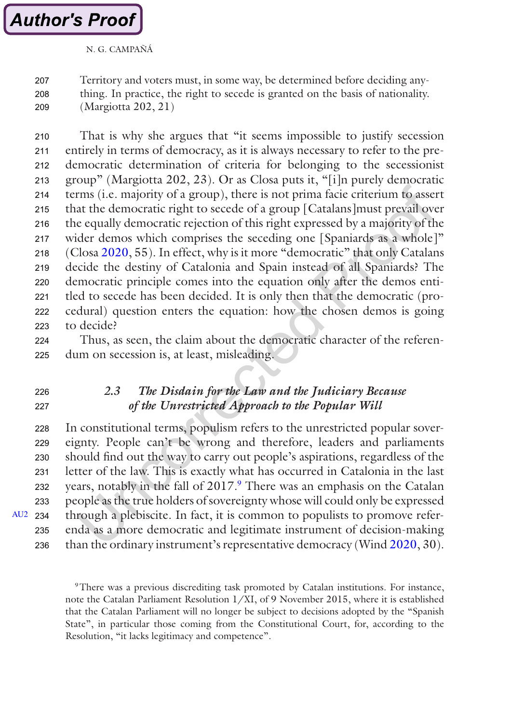<span id="page-8-0"></span>Territory and voters must, in some way, be determined before deciding anything. In practice, the right to secede is granted on the basis of nationality. (Margiotta 202, 21) 207 208 209

That is why she argues that "it seems impossible to justify secession entirely in terms of democracy, as it is always necessary to refer to the predemocratic determination of criteria for belonging to the secessionist group" (Margiotta 202, 23). Or as Closa puts it, "[i]n purely democratic terms (i.e. majority of a group), there is not prima facie criterium to assert that the democratic right to secede of a group [Catalans]must prevail over the equally democratic rejection of this right expressed by a majority of the wider demos which comprises the seceding one [Spaniards as a whole]" (Closa [2020,](#page-20-0) 55). In effect, why is it more "democratic" that only Catalans decide the destiny of Catalonia and Spain instead of all Spaniards? The democratic principle comes into the equation only after the demos entitled to secede has been decided. It is only then that the democratic (procedural) question enters the equation: how the chosen demos is going to decide? 210 211 212 213 214 215 216 217 218 219 220 221 222 223

Thus, as seen, the claim about the democratic character of the referendum on secession is, at least, misleading. 224 225

#### *2.3 The Disdain for the Law and the Judiciary Because of the Unrestricted Approach to the Popular Will*  $226$ 227

In constitutional terms, populism refers to the unrestricted popular sovereignty. People can't be wrong and therefore, leaders and parliaments should find out the way to carry out people's aspirations, regardless of the letter of the law. This is exactly what has occurred in Catalonia in the last years, notably in the fall of 2017.<sup>9</sup> There was an emphasis on the Catalan people as the true holders of sovereignty whose will could only be expressed through a plebiscite. In fact, it is common to populists to promove referenda as a more democratic and legitimate instrument of decision-making than the ordinary instrument's representative democracy (Wind [2020](#page-22-0), 30). 228 229 230  $231$ 232 233  $235$ 236

[AU2](#page-23-0) 234

<sup>9</sup>There was a previous discrediting task promoted by Catalan institutions. For instance, note the Catalan Parliament Resolution 1/XI, of 9 November 2015, where it is established that the Catalan Parliament will no longer be subject to decisions adopted by the "Spanish State", in particular those coming from the Constitutional Court, for, according to the Resolution, "it lacks legitimacy and competence".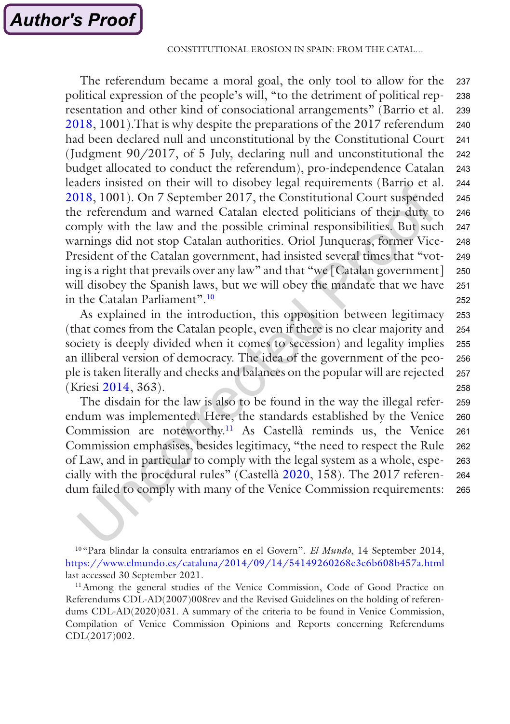The referendum became a moral goal, the only tool to allow for the political expression of the people's will, "to the detriment of political representation and other kind of consociational arrangements" (Barrio et al. [2018](#page-20-0), 1001).That is why despite the preparations of the 2017 referendum had been declared null and unconstitutional by the Constitutional Court (Judgment 90/2017, of 5 July, declaring null and unconstitutional the budget allocated to conduct the referendum), pro-independence Catalan leaders insisted on their will to disobey legal requirements (Barrio et al. [2018](#page-20-0), 1001). On 7 September 2017, the Constitutional Court suspended the referendum and warned Catalan elected politicians of their duty to comply with the law and the possible criminal responsibilities. But such warnings did not stop Catalan authorities. Oriol Junqueras, former Vice-President of the Catalan government, had insisted several times that "voting is a right that prevails over any law" and that "we [Catalan government] will disobey the Spanish laws, but we will obey the mandate that we have in the Catalan Parliament".<sup>10</sup> 237 238 239 240 241 242 243 244 245 246 247 248 249 250 251 252

As explained in the introduction, this opposition between legitimacy (that comes from the Catalan people, even if there is no clear majority and society is deeply divided when it comes to secession) and legality implies an illiberal version of democracy. The idea of the government of the people is taken literally and checks and balances on the popular will are rejected (Kriesi [2014,](#page-21-0) 363). 253 254 255 256 257 258

The disdain for the law is also to be found in the way the illegal referendum was implemented. Here, the standards established by the Venice Commission are noteworthy.11 As Castellà reminds us, the Venice Commission emphasises, besides legitimacy, "the need to respect the Rule of Law, and in particular to comply with the legal system as a whole, especially with the procedural rules" (Castellà [2020](#page-20-0), 158). The 2017 referendum failed to comply with many of the Venice Commission requirements: 259 260 261 262 263 264 265

<sup>10</sup> "Para blindar la consulta entraríamos en el Govern". *El Mundo*, 14 September 2014, <https://www.elmundo.es/cataluna/2014/09/14/54149260268e3e6b608b457a.html> last accessed 30 September 2021.

<sup>11</sup> Among the general studies of the Venice Commission, Code of Good Practice on Referendums CDL-AD(2007)008rev and the Revised Guidelines on the holding of referendums CDL-AD(2020)031. A summary of the criteria to be found in Venice Commission, Compilation of Venice Commission Opinions and Reports concerning Referendums CDL(2017)002.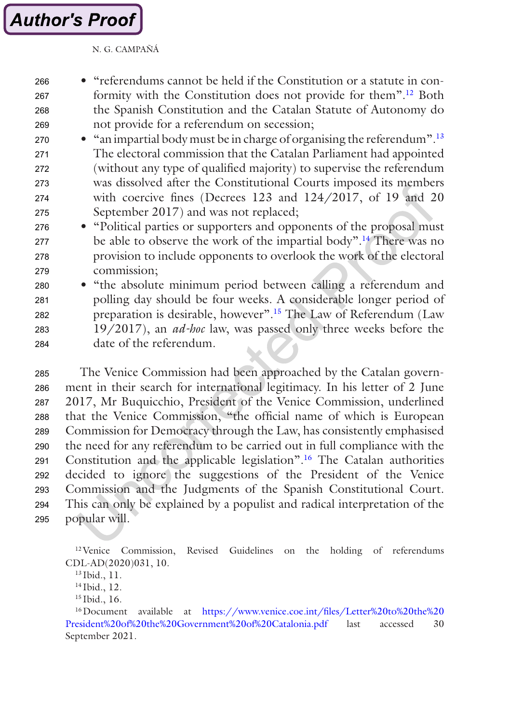- "referendums cannot be held if the Constitution or a statute in conformity with the Constitution does not provide for them".12 Both the Spanish Constitution and the Catalan Statute of Autonomy do not provide for a referendum on secession; 266 267 268 269
- "an impartial body must be in charge of organising the referendum".<sup>13</sup> The electoral commission that the Catalan Parliament had appointed (without any type of qualified majority) to supervise the referendum was dissolved after the Constitutional Courts imposed its members with coercive fines (Decrees 123 and 124/2017, of 19 and 20 September 2017) and was not replaced; 270 271 272 273 274 275
- "Political parties or supporters and opponents of the proposal must be able to observe the work of the impartial body".14 There was no provision to include opponents to overlook the work of the electoral commission; 276 277 278 279
- "the absolute minimum period between calling a referendum and polling day should be four weeks. A considerable longer period of preparation is desirable, however".15 The Law of Referendum (Law 19/2017), an *ad-hoc* law, was passed only three weeks before the date of the referendum. 280 281 282 283 284

The Venice Commission had been approached by the Catalan government in their search for international legitimacy. In his letter of 2 June 2017, Mr Buquicchio, President of the Venice Commission, underlined that the Venice Commission, "the official name of which is European Commission for Democracy through the Law, has consistently emphasised the need for any referendum to be carried out in full compliance with the Constitution and the applicable legislation".16 The Catalan authorities decided to ignore the suggestions of the President of the Venice Commission and the Judgments of the Spanish Constitutional Court. This can only be explained by a populist and radical interpretation of the popular will. 285 286 287 288 289 290 291 292 293 294 295

12Venice Commission, Revised Guidelines on the holding of referendums CDL-AD(2020)031, 10.

<sup>13</sup> Ibid., 11.

<sup>14</sup> Ibid., 12.

<sup>15</sup> Ibid., 16.

<sup>16</sup>Document available at [https://www.venice.coe.int/files/Letter%20to%20the%20](https://www.venice.coe.int/files/Letter%2520to%2520the%2520President%2520of%2520the%2520Government%2520of%2520Catalonia.pdf) [President%20of%20the%20Government%20of%20Catalonia.pdf](https://www.venice.coe.int/files/Letter%2520to%2520the%2520President%2520of%2520the%2520Government%2520of%2520Catalonia.pdf) last accessed 30 September 2021.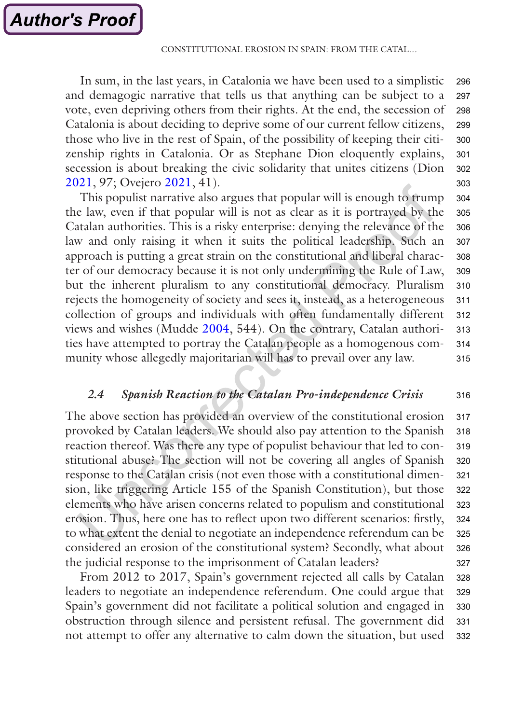In sum, in the last years, in Catalonia we have been used to a simplistic and demagogic narrative that tells us that anything can be subject to a vote, even depriving others from their rights. At the end, the secession of Catalonia is about deciding to deprive some of our current fellow citizens, those who live in the rest of Spain, of the possibility of keeping their citizenship rights in Catalonia. Or as Stephane Dion eloquently explains, secession is about breaking the civic solidarity that unites citizens (Dion [2021](#page-20-0), 97; Ovejero [2021,](#page-21-0) 41). 296 297 298 299 300 301 302 303

This populist narrative also argues that popular will is enough to trump the law, even if that popular will is not as clear as it is portrayed by the Catalan authorities. This is a risky enterprise: denying the relevance of the law and only raising it when it suits the political leadership. Such an approach is putting a great strain on the constitutional and liberal character of our democracy because it is not only undermining the Rule of Law, but the inherent pluralism to any constitutional democracy. Pluralism rejects the homogeneity of society and sees it, instead, as a heterogeneous collection of groups and individuals with often fundamentally different views and wishes (Mudde [2004,](#page-21-0) 544). On the contrary, Catalan authorities have attempted to portray the Catalan people as a homogenous community whose allegedly majoritarian will has to prevail over any law. 304 305 306 307 308 309 310 311 312 313 314 315

#### *2.4 Spanish Reaction to the Catalan Pro-independence Crisis* 316

The above section has provided an overview of the constitutional erosion provoked by Catalan leaders. We should also pay attention to the Spanish reaction thereof. Was there any type of populist behaviour that led to constitutional abuse? The section will not be covering all angles of Spanish response to the Catalan crisis (not even those with a constitutional dimension, like triggering Article 155 of the Spanish Constitution), but those elements who have arisen concerns related to populism and constitutional erosion. Thus, here one has to reflect upon two different scenarios: firstly, to what extent the denial to negotiate an independence referendum can be considered an erosion of the constitutional system? Secondly, what about the judicial response to the imprisonment of Catalan leaders? 317 318 319 320 321 322 323 324 325 326 327

From 2012 to 2017, Spain's government rejected all calls by Catalan leaders to negotiate an independence referendum. One could argue that Spain's government did not facilitate a political solution and engaged in obstruction through silence and persistent refusal. The government did not attempt to offer any alternative to calm down the situation, but used 328 329 330 331 332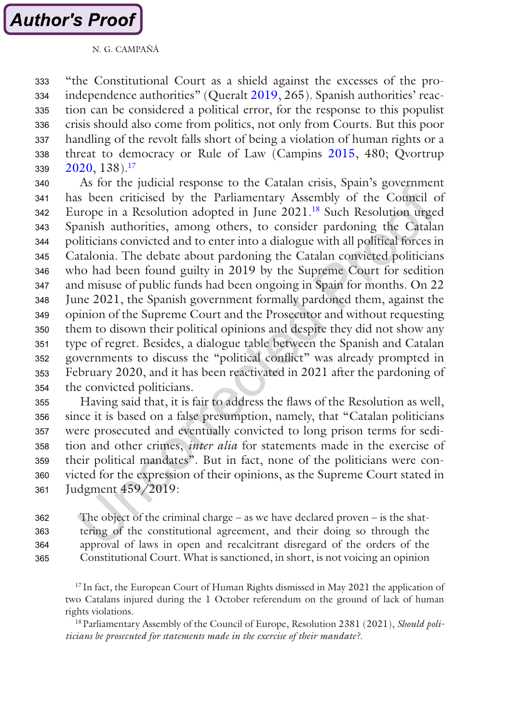"the Constitutional Court as a shield against the excesses of the pro-independence authorities" (Queralt [2019,](#page-21-0) 265). Spanish authorities' reaction can be considered a political error, for the response to this populist crisis should also come from politics, not only from Courts. But this poor handling of the revolt falls short of being a violation of human rights or a threat to democracy or Rule of Law (Campins [2015,](#page-20-0) 480; Qvortrup [2020](#page-21-0), 138).17 333 334 335 336 337 338 339

As for the judicial response to the Catalan crisis, Spain's government has been criticised by the Parliamentary Assembly of the Council of Europe in a Resolution adopted in June 2021.18 Such Resolution urged Spanish authorities, among others, to consider pardoning the Catalan politicians convicted and to enter into a dialogue with all political forces in Catalonia. The debate about pardoning the Catalan convicted politicians who had been found guilty in 2019 by the Supreme Court for sedition and misuse of public funds had been ongoing in Spain for months. On 22 June 2021, the Spanish government formally pardoned them, against the opinion of the Supreme Court and the Prosecutor and without requesting them to disown their political opinions and despite they did not show any type of regret. Besides, a dialogue table between the Spanish and Catalan governments to discuss the "political conflict" was already prompted in February 2020, and it has been reactivated in 2021 after the pardoning of the convicted politicians. 340 341 342 343 344 345 346 347 348 349 350 351 352 353 354

Having said that, it is fair to address the flaws of the Resolution as well, since it is based on a false presumption, namely, that "Catalan politicians were prosecuted and eventually convicted to long prison terms for sedition and other crimes, *inter alia* for statements made in the exercise of their political mandates". But in fact, none of the politicians were convicted for the expression of their opinions, as the Supreme Court stated in Judgment 459/2019: 355 356 357 358 359 360 361

The object of the criminal charge – as we have declared proven – is the shattering of the constitutional agreement, and their doing so through the approval of laws in open and recalcitrant disregard of the orders of the Constitutional Court. What is sanctioned, in short, is not voicing an opinion 362 363 364 365

<sup>17</sup> In fact, the European Court of Human Rights dismissed in May 2021 the application of two Catalans injured during the 1 October referendum on the ground of lack of human rights violations.

18Parliamentary Assembly of the Council of Europe, Resolution 2381 (2021), *Should politicians be prosecuted for statements made in the exercise of their mandate?*.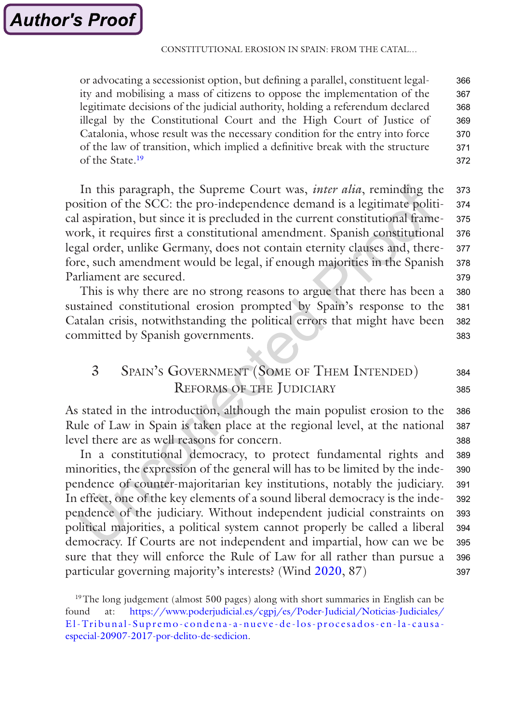or advocating a secessionist option, but defining a parallel, constituent legality and mobilising a mass of citizens to oppose the implementation of the legitimate decisions of the judicial authority, holding a referendum declared illegal by the Constitutional Court and the High Court of Justice of Catalonia, whose result was the necessary condition for the entry into force of the law of transition, which implied a definitive break with the structure of the State.19 366 367 368 369 370 371 372

In this paragraph, the Supreme Court was, *inter alia*, reminding the position of the SCC: the pro-independence demand is a legitimate political aspiration, but since it is precluded in the current constitutional framework, it requires first a constitutional amendment. Spanish constitutional legal order, unlike Germany, does not contain eternity clauses and, therefore, such amendment would be legal, if enough majorities in the Spanish Parliament are secured. 373 374 375 376 377 378 379

This is why there are no strong reasons to argue that there has been a sustained constitutional erosion prompted by Spain's response to the Catalan crisis, notwithstanding the political errors that might have been committed by Spanish governments. 380 381 382 383

### 3 Spain's Government (Some of Them Intended) Reforms of the Judiciary 384

As stated in the introduction, although the main populist erosion to the Rule of Law in Spain is taken place at the regional level, at the national level there are as well reasons for concern. 386 387 388

In a constitutional democracy, to protect fundamental rights and minorities, the expression of the general will has to be limited by the independence of counter-majoritarian key institutions, notably the judiciary. In effect, one of the key elements of a sound liberal democracy is the independence of the judiciary. Without independent judicial constraints on political majorities, a political system cannot properly be called a liberal democracy. If Courts are not independent and impartial, how can we be sure that they will enforce the Rule of Law for all rather than pursue a particular governing majority's interests? (Wind [2020](#page-22-0), 87) 389 390 391 392 393 394 395 396 397

385

<sup>&</sup>lt;sup>19</sup>The long judgement (almost 500 pages) along with short summaries in English can be found at: [https://www.poderjudicial.es/cgpj/es/Poder-Judicial/Noticias-Judiciales/](https://www.poderjudicial.es/cgpj/es/Poder-Judicial/Noticias-Judiciales/El-Tribunal-Supremo-condena-a-nueve-de-los-procesados-en-la-causa-especial-20907-2017-por-delito-de-sedicion) [El-Tribunal-Supremo-condena-a-nueve-de-los-procesados-en-la-causa](https://www.poderjudicial.es/cgpj/es/Poder-Judicial/Noticias-Judiciales/El-Tribunal-Supremo-condena-a-nueve-de-los-procesados-en-la-causa-especial-20907-2017-por-delito-de-sedicion)[especial-20907-2017-por-delito-de-sedicion](https://www.poderjudicial.es/cgpj/es/Poder-Judicial/Noticias-Judiciales/El-Tribunal-Supremo-condena-a-nueve-de-los-procesados-en-la-causa-especial-20907-2017-por-delito-de-sedicion).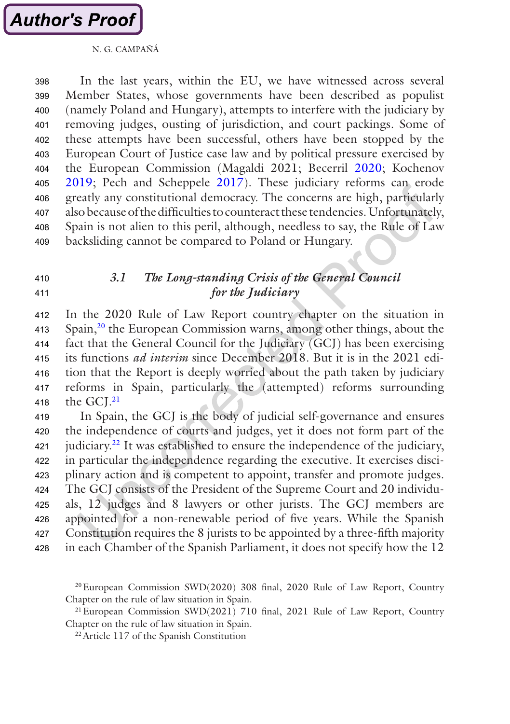

In the last years, within the EU, we have witnessed across several Member States, whose governments have been described as populist (namely Poland and Hungary), attempts to interfere with the judiciary by removing judges, ousting of jurisdiction, and court packings. Some of these attempts have been successful, others have been stopped by the European Court of Justice case law and by political pressure exercised by the European Commission (Magaldi 2021; Becerril [2020](#page-20-0); Kochenov [2019](#page-21-0); Pech and Scheppele [2017\)](#page-21-0). These judiciary reforms can erode greatly any constitutional democracy. The concerns are high, particularly also because of the difficulties to counteract these tendencies. Unfortunately, Spain is not alien to this peril, although, needless to say, the Rule of Law backsliding cannot be compared to Poland or Hungary. 398 399 400 401 402 403 404 405 406 407 408 409

#### *3.1 The Long-standing Crisis of the General Council for the Judiciary* 410 411

In the 2020 Rule of Law Report country chapter on the situation in Spain,20 the European Commission warns, among other things, about the fact that the General Council for the Judiciary (GCJ) has been exercising its functions *ad interim* since December 2018. But it is in the 2021 edition that the Report is deeply worried about the path taken by judiciary reforms in Spain, particularly the (attempted) reforms surrounding the GCI.<sup>21</sup> 412 413 414 415 416 417 418

In Spain, the GCJ is the body of judicial self-governance and ensures the independence of courts and judges, yet it does not form part of the judiciary.22 It was established to ensure the independence of the judiciary, in particular the independence regarding the executive. It exercises disciplinary action and is competent to appoint, transfer and promote judges. The GCJ consists of the President of the Supreme Court and 20 individuals, 12 judges and 8 lawyers or other jurists. The GCJ members are appointed for a non-renewable period of five years. While the Spanish Constitution requires the 8 jurists to be appointed by a three-fifth majority in each Chamber of the Spanish Parliament, it does not specify how the 12 419 420 421 422 423 424 425 426 427 428

20European Commission SWD(2020) 308 final, 2020 Rule of Law Report, Country Chapter on the rule of law situation in Spain.

21European Commission SWD(2021) 710 final, 2021 Rule of Law Report, Country Chapter on the rule of law situation in Spain.

22Article 117 of the Spanish Constitution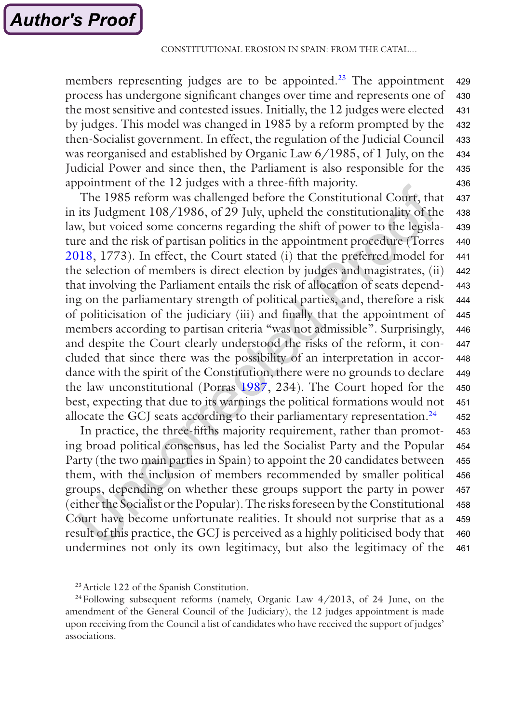members representing judges are to be appointed.<sup>23</sup> The appointment process has undergone significant changes over time and represents one of the most sensitive and contested issues. Initially, the 12 judges were elected by judges. This model was changed in 1985 by a reform prompted by the then-Socialist government. In effect, the regulation of the Judicial Council was reorganised and established by Organic Law 6/1985, of 1 July, on the Judicial Power and since then, the Parliament is also responsible for the appointment of the 12 judges with a three-fifth majority. 429 430 431 432 433 434 435 436

The 1985 reform was challenged before the Constitutional Court, that in its Judgment 108/1986, of 29 July, upheld the constitutionality of the law, but voiced some concerns regarding the shift of power to the legislature and the risk of partisan politics in the appointment procedure (Torres [2018](#page-21-0), 1773). In effect, the Court stated (i) that the preferred model for the selection of members is direct election by judges and magistrates, (ii) that involving the Parliament entails the risk of allocation of seats depending on the parliamentary strength of political parties, and, therefore a risk of politicisation of the judiciary (iii) and finally that the appointment of members according to partisan criteria "was not admissible". Surprisingly, and despite the Court clearly understood the risks of the reform, it concluded that since there was the possibility of an interpretation in accordance with the spirit of the Constitution, there were no grounds to declare the law unconstitutional (Porras [1987](#page-21-0), 234). The Court hoped for the best, expecting that due to its warnings the political formations would not allocate the GCJ seats according to their parliamentary representation.<sup>24</sup> 437 438 439 440 441 442 443 444 445 446 447 448 449 450 451 452

In practice, the three-fifths majority requirement, rather than promoting broad political consensus, has led the Socialist Party and the Popular Party (the two main parties in Spain) to appoint the 20 candidates between them, with the inclusion of members recommended by smaller political groups, depending on whether these groups support the party in power (either the Socialist or the Popular). The risks foreseen by the Constitutional Court have become unfortunate realities. It should not surprise that as a result of this practice, the GCJ is perceived as a highly politicised body that undermines not only its own legitimacy, but also the legitimacy of the 453 454 455 456 457 458 459 460 461

 $^{24}$ Following subsequent reforms (namely, Organic Law  $4/2013$ , of 24 June, on the amendment of the General Council of the Judiciary), the 12 judges appointment is made upon receiving from the Council a list of candidates who have received the support of judges' associations.

<sup>23</sup>Article 122 of the Spanish Constitution.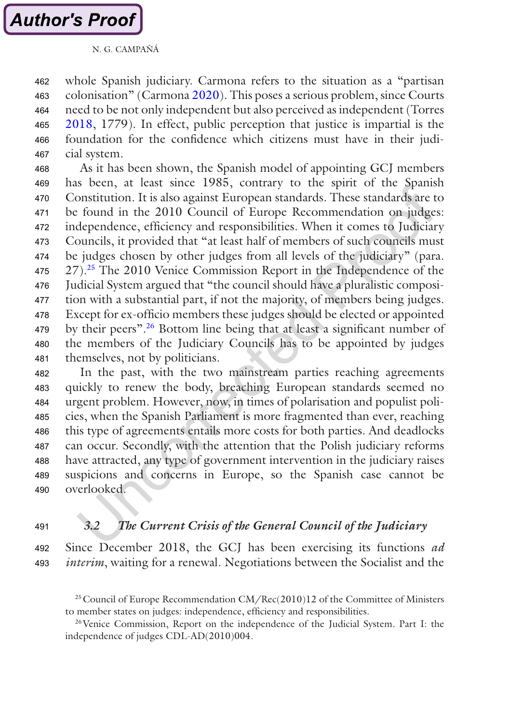whole Spanish judiciary. Carmona refers to the situation as a "partisan colonisation" (Carmona [2020\)](#page-20-0). This poses a serious problem, since Courts need to be not only independent but also perceived as independent (Torres [2018](#page-21-0), 1779). In effect, public perception that justice is impartial is the foundation for the confidence which citizens must have in their judicial system. 462 463 464 465 466 467

As it has been shown, the Spanish model of appointing GCJ members has been, at least since 1985, contrary to the spirit of the Spanish Constitution. It is also against European standards. These standards are to be found in the 2010 Council of Europe Recommendation on judges: independence, efficiency and responsibilities. When it comes to Judiciary Councils, it provided that "at least half of members of such councils must be judges chosen by other judges from all levels of the judiciary" (para. 27).25 The 2010 Venice Commission Report in the Independence of the Judicial System argued that "the council should have a pluralistic composition with a substantial part, if not the majority, of members being judges. Except for ex-officio members these judges should be elected or appointed by their peers".26 Bottom line being that at least a significant number of the members of the Judiciary Councils has to be appointed by judges themselves, not by politicians. 468 469 470 471 472 473 474 475 476 477 478 479 480 481

In the past, with the two mainstream parties reaching agreements quickly to renew the body, breaching European standards seemed no urgent problem. However, now, in times of polarisation and populist policies, when the Spanish Parliament is more fragmented than ever, reaching this type of agreements entails more costs for both parties. And deadlocks can occur. Secondly, with the attention that the Polish judiciary reforms have attracted, any type of government intervention in the judiciary raises suspicions and concerns in Europe, so the Spanish case cannot be overlooked. 482 483 484 485 486 487 488 489 490

#### *3.2 The Current Crisis of the General Council of the Judiciary* 491

#### Since December 2018, the GCJ has been exercising its functions *ad interim*, waiting for a renewal. Negotiations between the Socialist and the 492 493

26Venice Commission, Report on the independence of the Judicial System. Part I: the independence of judges CDL-AD(2010)004.

<sup>&</sup>lt;sup>25</sup> Council of Europe Recommendation  $CM/Rec(2010)12$  of the Committee of Ministers to member states on judges: independence, efficiency and responsibilities.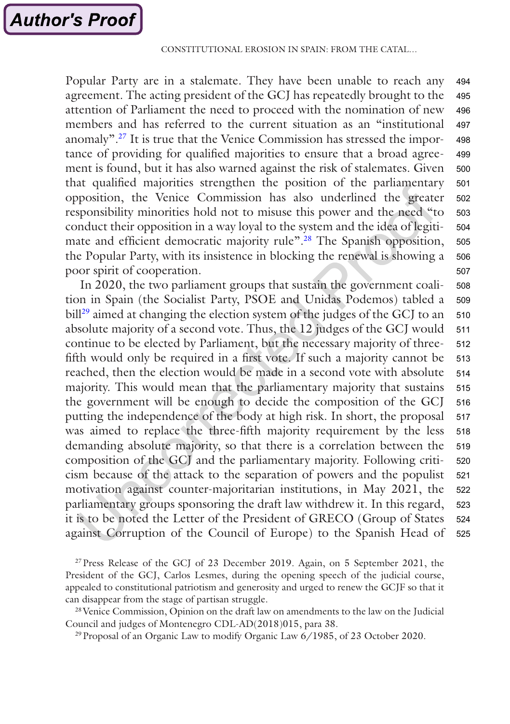Popular Party are in a stalemate. They have been unable to reach any agreement. The acting president of the GCJ has repeatedly brought to the attention of Parliament the need to proceed with the nomination of new members and has referred to the current situation as an "institutional anomaly".27 It is true that the Venice Commission has stressed the importance of providing for qualified majorities to ensure that a broad agreement is found, but it has also warned against the risk of stalemates. Given that qualified majorities strengthen the position of the parliamentary opposition, the Venice Commission has also underlined the greater responsibility minorities hold not to misuse this power and the need "to conduct their opposition in a way loyal to the system and the idea of legitimate and efficient democratic majority rule".<sup>28</sup> The Spanish opposition, the Popular Party, with its insistence in blocking the renewal is showing a poor spirit of cooperation. 494 495 496 497 498 499 500 501 502 503 504 505 506 507

In 2020, the two parliament groups that sustain the government coalition in Spain (the Socialist Party, PSOE and Unidas Podemos) tabled a bill<sup>29</sup> aimed at changing the election system of the judges of the GCJ to an absolute majority of a second vote. Thus, the 12 judges of the GCJ would continue to be elected by Parliament, but the necessary majority of threefifth would only be required in a first vote. If such a majority cannot be reached, then the election would be made in a second vote with absolute majority. This would mean that the parliamentary majority that sustains the government will be enough to decide the composition of the GCJ putting the independence of the body at high risk. In short, the proposal was aimed to replace the three-fifth majority requirement by the less demanding absolute majority, so that there is a correlation between the composition of the GCJ and the parliamentary majority. Following criticism because of the attack to the separation of powers and the populist motivation against counter-majoritarian institutions, in May 2021, the parliamentary groups sponsoring the draft law withdrew it. In this regard, it is to be noted the Letter of the President of GRECO (Group of States against Corruption of the Council of Europe) to the Spanish Head of 508 509 510 511 512 513 514 515 516 517 518 519 520 521 522 523 524 525

27Press Release of the GCJ of 23 December 2019. Again, on 5 September 2021, the President of the GCJ, Carlos Lesmes, during the opening speech of the judicial course, appealed to constitutional patriotism and generosity and urged to renew the GCJF so that it can disappear from the stage of partisan struggle.

<sup>28</sup> Venice Commission, Opinion on the draft law on amendments to the law on the Judicial Council and judges of Montenegro CDL-AD(2018)015, para 38.

<sup>29</sup> Proposal of an Organic Law to modify Organic Law 6/1985, of 23 October 2020.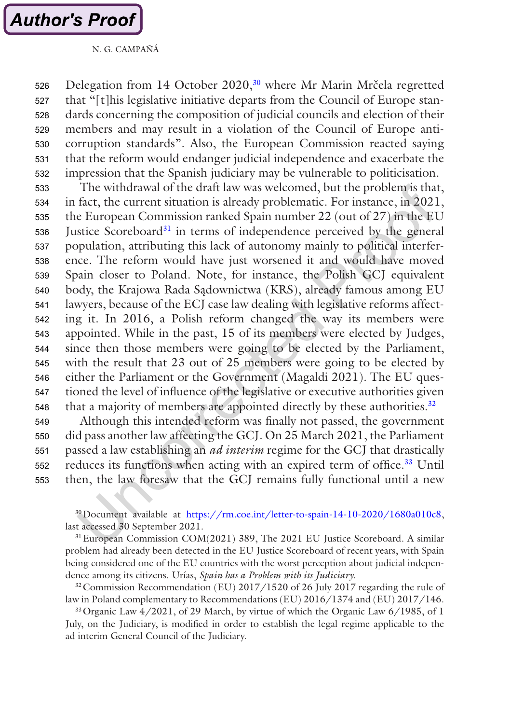

Delegation from 14 October 2020,<sup>30</sup> where Mr Marin Mrčela regretted that "[t]his legislative initiative departs from the Council of Europe standards concerning the composition of judicial councils and election of their members and may result in a violation of the Council of Europe anticorruption standards". Also, the European Commission reacted saying that the reform would endanger judicial independence and exacerbate the impression that the Spanish judiciary may be vulnerable to politicisation. 526 527 528 529 530 531 532

The withdrawal of the draft law was welcomed, but the problem is that, in fact, the current situation is already problematic. For instance, in 2021, the European Commission ranked Spain number 22 (out of 27) in the EU Justice Scoreboard<sup>31</sup> in terms of independence perceived by the general population, attributing this lack of autonomy mainly to political interference. The reform would have just worsened it and would have moved Spain closer to Poland. Note, for instance, the Polish GCJ equivalent body, the Krajowa Rada Sadownictwa (KRS), already famous among EU lawyers, because of the ECJ case law dealing with legislative reforms affecting it. In 2016, a Polish reform changed the way its members were appointed. While in the past, 15 of its members were elected by Judges, since then those members were going to be elected by the Parliament, with the result that 23 out of 25 members were going to be elected by either the Parliament or the Government (Magaldi 2021). The EU questioned the level of influence of the legislative or executive authorities given that a majority of members are appointed directly by these authorities.<sup>32</sup> 533 534 535 536 537 538 539 540 541 542 543 544 545 546 547 548

Although this intended reform was finally not passed, the government did pass another law affecting the GCJ. On 25 March 2021, the Parliament passed a law establishing an *ad interim* regime for the GCJ that drastically reduces its functions when acting with an expired term of office.<sup>33</sup> Until then, the law foresaw that the GCJ remains fully functional until a new 549 550 551 552 553

30Document available at <https://rm.coe.int/letter-to-spain-14-10-2020/1680a010c8>, last accessed 30 September 2021.

<sup>31</sup> European Commission COM(2021) 389, The 2021 EU Justice Scoreboard. A similar problem had already been detected in the EU Justice Scoreboard of recent years, with Spain being considered one of the EU countries with the worst perception about judicial independence among its citizens. Urías, *Spain has a Problem with its Judiciary*.

<sup>32</sup> Commission Recommendation (EU) 2017/1520 of 26 July 2017 regarding the rule of law in Poland complementary to Recommendations (EU) 2016/1374 and (EU) 2017/146.

<sup>33</sup> Organic Law  $4/2021$ , of 29 March, by virtue of which the Organic Law  $6/1985$ , of 1 July, on the Judiciary, is modified in order to establish the legal regime applicable to the ad interim General Council of the Judiciary.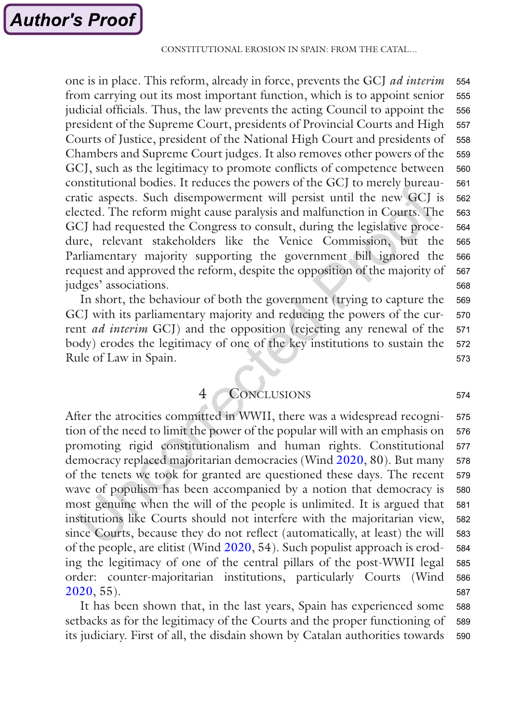one is in place. This reform, already in force, prevents the GCJ *ad interim* from carrying out its most important function, which is to appoint senior judicial officials. Thus, the law prevents the acting Council to appoint the president of the Supreme Court, presidents of Provincial Courts and High Courts of Justice, president of the National High Court and presidents of Chambers and Supreme Court judges. It also removes other powers of the GCJ, such as the legitimacy to promote conflicts of competence between constitutional bodies. It reduces the powers of the GCJ to merely bureaucratic aspects. Such disempowerment will persist until the new GCJ is elected. The reform might cause paralysis and malfunction in Courts. The GCJ had requested the Congress to consult, during the legislative procedure, relevant stakeholders like the Venice Commission, but the Parliamentary majority supporting the government bill ignored the request and approved the reform, despite the opposition of the majority of judges' associations. 554 555 556 557 558 559 560 561 562 563 564 565 566 567 568

In short, the behaviour of both the government (trying to capture the GCJ with its parliamentary majority and reducing the powers of the current *ad interim* GCJ) and the opposition (rejecting any renewal of the body) erodes the legitimacy of one of the key institutions to sustain the Rule of Law in Spain. 569 570 571 572 573

4 CONCLUSIONS

After the atrocities committed in WWII, there was a widespread recognition of the need to limit the power of the popular will with an emphasis on promoting rigid constitutionalism and human rights. Constitutional democracy replaced majoritarian democracies (Wind [2020](#page-22-0), 80). But many of the tenets we took for granted are questioned these days. The recent wave of populism has been accompanied by a notion that democracy is most genuine when the will of the people is unlimited. It is argued that institutions like Courts should not interfere with the majoritarian view, since Courts, because they do not reflect (automatically, at least) the will of the people, are elitist (Wind [2020,](#page-22-0) 54). Such populist approach is eroding the legitimacy of one of the central pillars of the post-WWII legal order: counter-majoritarian institutions, particularly Courts (Wind [2020](#page-22-0), 55). 575 576 577 578 579 580 581 582 583 584 585 586 587

It has been shown that, in the last years, Spain has experienced some setbacks as for the legitimacy of the Courts and the proper functioning of its judiciary. First of all, the disdain shown by Catalan authorities towards 588 589 590

574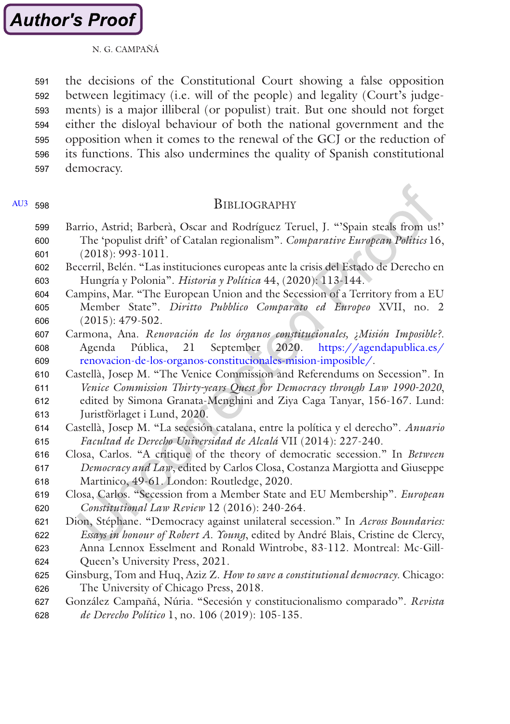<span id="page-20-0"></span>the decisions of the Constitutional Court showing a false opposition between legitimacy (i.e. will of the people) and legality (Court's judgements) is a major illiberal (or populist) trait. But one should not forget either the disloyal behaviour of both the national government and the opposition when it comes to the renewal of the GCJ or the reduction of its functions. This also undermines the quality of Spanish constitutional democracy. 591 592 593 594 595 596 597

## [AU3](#page-23-0) 598

## **BIBLIOGRAPHY**

- Barrio, Astrid; Barberà, Oscar and Rodríguez Teruel, J. "'Spain steals from us!' The 'populist drift' of Catalan regionalism". *Comparative European Politics* 16, (2018): 993-1011. 599 600 601
- Becerril, Belén. "Las instituciones europeas ante la crisis del Estado de Derecho en Hungría y Polonia". *Historia y Política* 44, (2020): 113-144. 602 603
- Campins, Mar. "The European Union and the Secession of a Territory from a EU Member State". *Diritto Pubblico Comparato ed Europeo* XVII, no. 2 (2015): 479-502. 604 605 606
- Carmona, Ana. *Renovación de los órganos constitucionales, ¿Misión Imposible?*. Agenda Pública, 21 September 2020. [https://agendapublica.es/](https://agendapublica.es/renovacion-de-los-organos-constitucionales-mision-imposible/) [renovacion-de-los-organos-constitucionales-mision-imposible/.](https://agendapublica.es/renovacion-de-los-organos-constitucionales-mision-imposible/) 607 608 609
- Castellà, Josep M. "The Venice Commission and Referendums on Secession". In 610
- *Venice Commission Thirty-years Quest for Democracy through Law 1990-2020*, edited by Simona Granata-Menghini and Ziya Caga Tanyar, 156-167. Lund: Juristförlaget i Lund, 2020. 611 612 613
- Castellà, Josep M. "La secesión catalana, entre la política y el derecho". *Anuario Facultad de Derecho Universidad de Alcalá* VII (2014): 227-240. 614 615
- Closa, Carlos. "A critique of the theory of democratic secession." In *Between Democracy and Law*, edited by Carlos Closa, Costanza Margiotta and Giuseppe Martinico, 49-61. London: Routledge, 2020. 616 617 618
- Closa, Carlos. "Secession from a Member State and EU Membership". *European Constitutional Law Review* 12 (2016): 240-264. 619 620
- Dion, Stéphane. "Democracy against unilateral secession." In *Across Boundaries: Essays in honour of Robert A. Young*, edited by André Blais, Cristine de Clercy, 621 622
- Anna Lennox Esselment and Ronald Wintrobe, 83-112. Montreal: Mc-Gill-Queen's University Press, 2021. 623 624
- Ginsburg, Tom and Huq, Aziz Z. *How to save a constitutional democracy*. Chicago: The University of Chicago Press, 2018. 625 626
- González Campañá, Núria. "Secesión y constitucionalismo comparado". *Revista de Derecho Político* 1, no. 106 (2019): 105-135. 627 628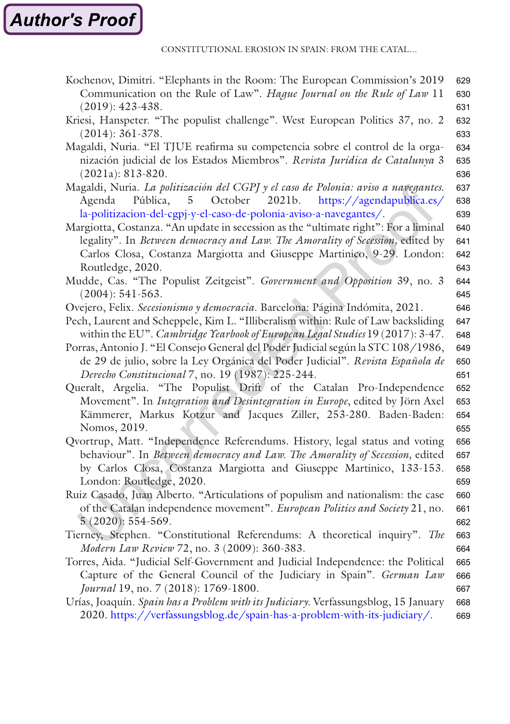CONSTITUTIONAL EROSION IN SPAIN: FROM THE CATAL…

<span id="page-21-0"></span>

| Kochenov, Dimitri. "Elephants in the Room: The European Commission's 2019           | 629 |
|-------------------------------------------------------------------------------------|-----|
| Communication on the Rule of Law". Hague Journal on the Rule of Law 11              | 630 |
| $(2019): 423-438.$                                                                  | 631 |
| Kriesi, Hanspeter. "The populist challenge". West European Politics 37, no. 2       | 632 |
| $(2014): 361-378.$                                                                  | 633 |
| Magaldi, Nuria. "El TJUE reafirma su competencia sobre el control de la orga-       | 634 |
| nización judicial de los Estados Miembros". Revista Jurídica de Catalunya 3         | 635 |
| $(2021a): 813-820.$                                                                 | 636 |
| Magaldi, Nuria. La politización del CGPJ y el caso de Polonia: aviso a navegantes.  | 637 |
| October<br>Pública,<br>$5^{\circ}$<br>2021b.<br>https://agendapublica.es/<br>Agenda | 638 |
| la-politizacion-del-cgpj-y-el-caso-de-polonia-aviso-a-navegantes/.                  | 639 |
| Margiotta, Costanza. "An update in secession as the "ultimate right": For a liminal | 640 |
| legality". In Between democracy and Law. The Amorality of Secession, edited by      | 641 |
| Carlos Closa, Costanza Margiotta and Giuseppe Martinico, 9-29. London:              | 642 |
| Routledge, 2020.                                                                    | 643 |
| Mudde, Cas. "The Populist Zeitgeist". Government and Opposition 39, no. 3           | 644 |
| $(2004): 541-563.$                                                                  | 645 |
| Ovejero, Felix. Secesionismo y democracia. Barcelona: Página Indómita, 2021.        | 646 |
| Pech, Laurent and Scheppele, Kim L. "Illiberalism within: Rule of Law backsliding   | 647 |
| within the EU". Cambridge Yearbook of European Legal Studies 19 (2017): 3-47.       | 648 |
| Porras, Antonio J. "El Consejo General del Poder Judicial según la STC 108/1986,    | 649 |
| de 29 de julio, sobre la Ley Orgánica del Poder Judicial". Revista Española de      | 650 |
| Derecho Constitucional 7, no. 19 (1987): 225-244.                                   | 651 |
| Queralt, Argelia. "The Populist Drift of the Catalan Pro-Independence               | 652 |
| Movement". In Integration and Desintegration in Europe, edited by Jörn Axel         | 653 |
| Kämmerer, Markus Kotzur and Jacques Ziller, 253-280. Baden-Baden:                   | 654 |
| Nomos, 2019.                                                                        | 655 |
| Qvortrup, Matt. "Independence Referendums. History, legal status and voting         | 656 |
| behaviour". In Between democracy and Law. The Amorality of Secession, edited        | 657 |
| by Carlos Closa, Costanza Margiotta and Giuseppe Martinico, 133-153.                | 658 |
| London: Routledge, 2020.                                                            | 659 |
| Ruiz Casado, Juan Alberto. "Articulations of populism and nationalism: the case     | 660 |
| of the Catalan independence movement". European Politics and Society 21, no.        | 661 |
| $5(2020)$ : 554-569.                                                                | 662 |
| Tierney, Stephen. "Constitutional Referendums: A theoretical inquiry". The          | 663 |
| Modern Law Review 72, no. 3 (2009): 360-383.                                        | 664 |
| Torres, Aida. "Judicial Self-Government and Judicial Independence: the Political    | 665 |
| Capture of the General Council of the Judiciary in Spain". German Law               | 666 |
| Journal 19, no. 7 (2018): 1769-1800.                                                | 667 |
| Urías, Joaquín. Spain has a Problem with its Judiciary. Verfassungsblog, 15 January | 668 |
| 2020. https://verfassungsblog.de/spain-has-a-problem-with-its-judiciary/.           | 669 |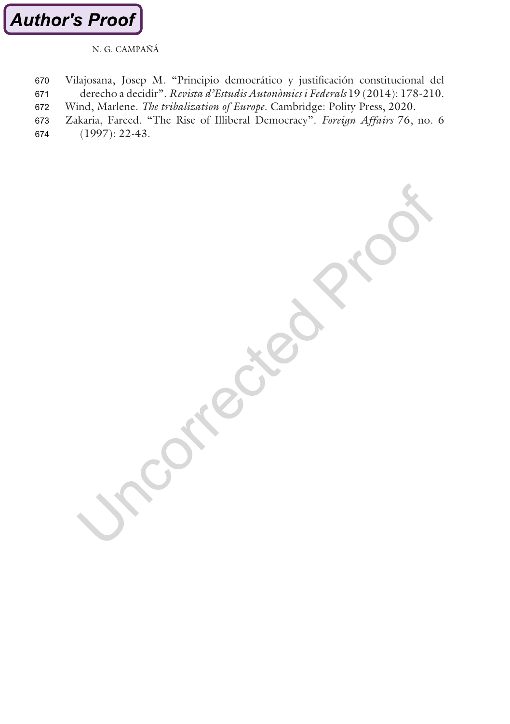<span id="page-22-0"></span>

Vilajosana, Josep M. "Principio democrático y justificación constitucional del derecho a decidir". *Revista d'Estudis Autonòmics i Federals* 19 (2014): 178-210. Wind, Marlene. *The tribalization of Europe*. Cambridge: Polity Press, 2020. 670 671 672

Zakaria, Fareed. "The Rise of Illiberal Democracy". *Foreign Affairs* 76, no. 6 673

(1997): 22-43. 674